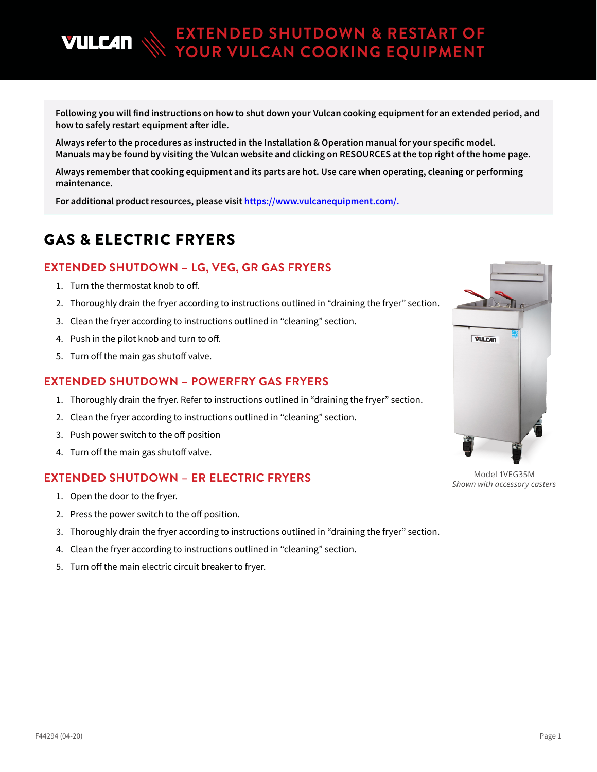Following you will find instructions on how to shut down your Vulcan cooking equipment for an extended period, and how to safely restart equipment after idle.

**EXTENDED SHUTDOWN & RESTART OF YOUR VULCAN COOKING EQUIPMENT**

Always refer to the procedures as instructed in the Installation & Operation manual for your specific model. Manuals may be found by visiting the Vulcan website and clicking on RESOURCES at the top right of the home page.

Always remember that cooking equipment and its parts are hot. Use care when operating, cleaning or performing maintenance.

For additional product resources, please visit [https://www.vulcanequipment.com/.](https://nam03.safelinks.protection.outlook.com/?url=https%3A%2F%2Fwww.vulcanequipment.com%2F&data=02%7C01%7Cmeghan.hurst%40itwce.com%7C05d407fb5bb5439c25ec08d7dc96682e%7Cb4815476297140ff934ccae656660405%7C0%7C0%7C637220410863877586&sdata=oUVqIeZZmZ4bccNmNl0GFQL2ltvUILY%2Fz8SzGFrmgb0%3D&reserved=0)

## GAS & ELECTRIC FRYERS

### **EXTENDED SHUTDOWN – LG, VEG, GR GAS FRYERS**

1. Turn the thermostat knob to off.

**VULC4N** 

- 2. Thoroughly drain the fryer according to instructions outlined in "draining the fryer" section.
- 3. Clean the fryer according to instructions outlined in "cleaning" section.
- 4. Push in the pilot knob and turn to off.
- 5. Turn off the main gas shutoff valve.

#### **EXTENDED SHUTDOWN – POWERFRY GAS FRYERS**

- 1. Thoroughly drain the fryer. Refer to instructions outlined in "draining the fryer" section.
- 2. Clean the fryer according to instructions outlined in "cleaning" section.
- 3. Push power switch to the off position
- 4. Turn off the main gas shutoff valve.

#### **EXTENDED SHUTDOWN – ER ELECTRIC FRYERS**

- 1. Open the door to the fryer.
- 2. Press the power switch to the off position.
- 3. Thoroughly drain the fryer according to instructions outlined in "draining the fryer" section.
- 4. Clean the fryer according to instructions outlined in "cleaning" section.
- 5. Turn off the main electric circuit breaker to fryer.



Model 1VEG35M *Shown with accessory casters*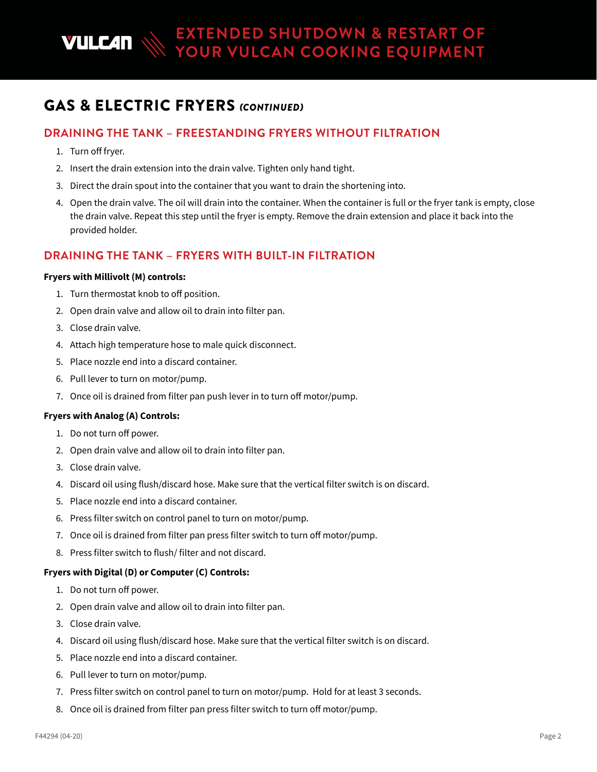## GAS & ELECTRIC FRYERS *(CONTINUED)*

## **DRAINING THE TANK – FREESTANDING FRYERS WITHOUT FILTRATION**

- 1. Turn off fryer.
- 2. Insert the drain extension into the drain valve. Tighten only hand tight.
- 3. Direct the drain spout into the container that you want to drain the shortening into.
- 4. Open the drain valve. The oil will drain into the container. When the container is full or the fryer tank is empty, close the drain valve. Repeat this step until the fryer is empty. Remove the drain extension and place it back into the provided holder.

### **DRAINING THE TANK – FRYERS WITH BUILT-IN FILTRATION**

#### **Fryers with Millivolt (M) controls:**

- 1. Turn thermostat knob to off position.
- 2. Open drain valve and allow oil to drain into filter pan.
- 3. Close drain valve.
- 4. Attach high temperature hose to male quick disconnect.
- 5. Place nozzle end into a discard container.
- 6. Pull lever to turn on motor/pump.
- 7. Once oil is drained from filter pan push lever in to turn off motor/pump.

#### **Fryers with Analog (A) Controls:**

- 1. Do not turn off power.
- 2. Open drain valve and allow oil to drain into filter pan.
- 3. Close drain valve.
- 4. Discard oil using flush/discard hose. Make sure that the vertical filter switch is on discard.
- 5. Place nozzle end into a discard container.
- 6. Press filter switch on control panel to turn on motor/pump.
- 7. Once oil is drained from filter pan press filter switch to turn off motor/pump.
- 8. Press filter switch to flush/ filter and not discard.

#### **Fryers with Digital (D) or Computer (C) Controls:**

- 1. Do not turn off power.
- 2. Open drain valve and allow oil to drain into filter pan.
- 3. Close drain valve.
- 4. Discard oil using flush/discard hose. Make sure that the vertical filter switch is on discard.
- 5. Place nozzle end into a discard container.
- 6. Pull lever to turn on motor/pump.
- 7. Press filter switch on control panel to turn on motor/pump. Hold for at least 3 seconds.
- 8. Once oil is drained from filter pan press filter switch to turn off motor/pump.